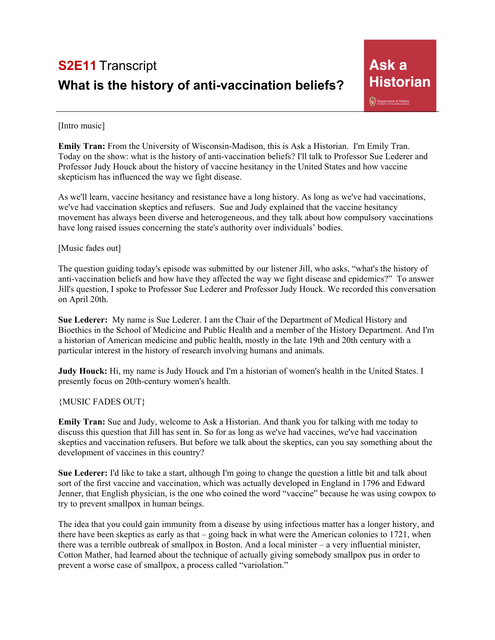# [Intro music]

**Emily Tran:** From the University of Wisconsin-Madison, this is Ask a Historian. I'm Emily Tran. Today on the show: what is the history of anti-vaccination beliefs? I'll talk to Professor Sue Lederer and Professor Judy Houck about the history of vaccine hesitancy in the United States and how vaccine skepticism has influenced the way we fight disease.

As we'll learn, vaccine hesitancy and resistance have a long history. As long as we've had vaccinations, we've had vaccination skeptics and refusers. Sue and Judy explained that the vaccine hesitancy movement has always been diverse and heterogeneous, and they talk about how compulsory vaccinations have long raised issues concerning the state's authority over individuals' bodies.

## [Music fades out]

The question guiding today's episode was submitted by our listener Jill, who asks, "what's the history of anti-vaccination beliefs and how have they affected the way we fight disease and epidemics?" To answer Jill's question, I spoke to Professor Sue Lederer and Professor Judy Houck. We recorded this conversation on April 20th.

**Sue Lederer:** My name is Sue Lederer. I am the Chair of the Department of Medical History and Bioethics in the School of Medicine and Public Health and a member of the History Department. And I'm a historian of American medicine and public health, mostly in the late 19th and 20th century with a particular interest in the history of research involving humans and animals.

**Judy Houck:** Hi, my name is Judy Houck and I'm a historian of women's health in the United States. I presently focus on 20th-century women's health.

### {MUSIC FADES OUT}

**Emily Tran:** Sue and Judy, welcome to Ask a Historian. And thank you for talking with me today to discuss this question that Jill has sent in. So for as long as we've had vaccines, we've had vaccination skeptics and vaccination refusers. But before we talk about the skeptics, can you say something about the development of vaccines in this country?

**Sue Lederer:** I'd like to take a start, although I'm going to change the question a little bit and talk about sort of the first vaccine and vaccination, which was actually developed in England in 1796 and Edward Jenner, that English physician, is the one who coined the word "vaccine" because he was using cowpox to try to prevent smallpox in human beings.

The idea that you could gain immunity from a disease by using infectious matter has a longer history, and there have been skeptics as early as that – going back in what were the American colonies to 1721, when there was a terrible outbreak of smallpox in Boston. And a local minister – a very influential minister, Cotton Mather, had learned about the technique of actually giving somebody smallpox pus in order to prevent a worse case of smallpox, a process called "variolation."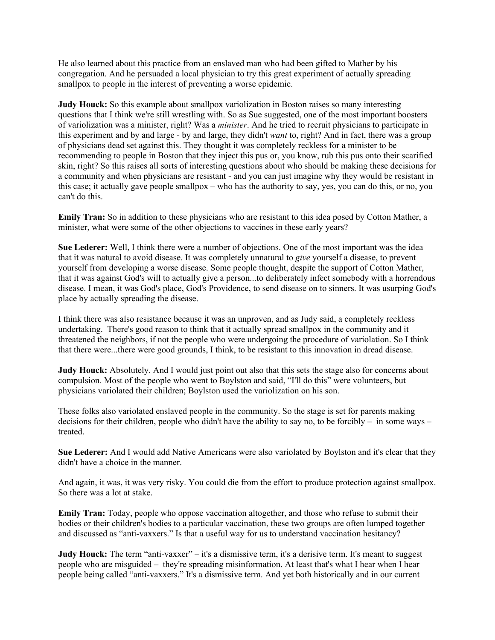He also learned about this practice from an enslaved man who had been gifted to Mather by his congregation. And he persuaded a local physician to try this great experiment of actually spreading smallpox to people in the interest of preventing a worse epidemic.

**Judy Houck:** So this example about smallpox variolization in Boston raises so many interesting questions that I think we're still wrestling with. So as Sue suggested, one of the most important boosters of variolization was a minister, right? Was a *minister*. And he tried to recruit physicians to participate in this experiment and by and large - by and large, they didn't *want* to, right? And in fact, there was a group of physicians dead set against this. They thought it was completely reckless for a minister to be recommending to people in Boston that they inject this pus or, you know, rub this pus onto their scarified skin, right? So this raises all sorts of interesting questions about who should be making these decisions for a community and when physicians are resistant - and you can just imagine why they would be resistant in this case; it actually gave people smallpox – who has the authority to say, yes, you can do this, or no, you can't do this.

**Emily Tran:** So in addition to these physicians who are resistant to this idea posed by Cotton Mather, a minister, what were some of the other objections to vaccines in these early years?

**Sue Lederer:** Well, I think there were a number of objections. One of the most important was the idea that it was natural to avoid disease. It was completely unnatural to *give* yourself a disease, to prevent yourself from developing a worse disease. Some people thought, despite the support of Cotton Mather, that it was against God's will to actually give a person...to deliberately infect somebody with a horrendous disease. I mean, it was God's place, God's Providence, to send disease on to sinners. It was usurping God's place by actually spreading the disease.

I think there was also resistance because it was an unproven, and as Judy said, a completely reckless undertaking. There's good reason to think that it actually spread smallpox in the community and it threatened the neighbors, if not the people who were undergoing the procedure of variolation. So I think that there were...there were good grounds, I think, to be resistant to this innovation in dread disease.

**Judy Houck:** Absolutely. And I would just point out also that this sets the stage also for concerns about compulsion. Most of the people who went to Boylston and said, "I'll do this" were volunteers, but physicians variolated their children; Boylston used the variolization on his son.

These folks also variolated enslaved people in the community. So the stage is set for parents making decisions for their children, people who didn't have the ability to say no, to be forcibly – in some ways – treated.

**Sue Lederer:** And I would add Native Americans were also variolated by Boylston and it's clear that they didn't have a choice in the manner.

And again, it was, it was very risky. You could die from the effort to produce protection against smallpox. So there was a lot at stake.

**Emily Tran:** Today, people who oppose vaccination altogether, and those who refuse to submit their bodies or their children's bodies to a particular vaccination, these two groups are often lumped together and discussed as "anti-vaxxers." Is that a useful way for us to understand vaccination hesitancy?

**Judy Houck:** The term "anti-vaxxer" – it's a dismissive term, it's a derisive term. It's meant to suggest people who are misguided – they're spreading misinformation. At least that's what I hear when I hear people being called "anti-vaxxers." It's a dismissive term. And yet both historically and in our current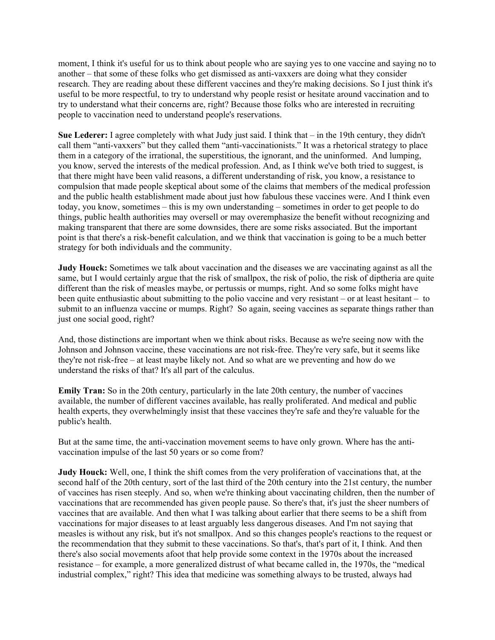moment, I think it's useful for us to think about people who are saying yes to one vaccine and saying no to another – that some of these folks who get dismissed as anti-vaxxers are doing what they consider research. They are reading about these different vaccines and they're making decisions. So I just think it's useful to be more respectful, to try to understand why people resist or hesitate around vaccination and to try to understand what their concerns are, right? Because those folks who are interested in recruiting people to vaccination need to understand people's reservations.

**Sue Lederer:** I agree completely with what Judy just said. I think that – in the 19th century, they didn't call them "anti-vaxxers" but they called them "anti-vaccinationists." It was a rhetorical strategy to place them in a category of the irrational, the superstitious, the ignorant, and the uninformed. And lumping, you know, served the interests of the medical profession. And, as I think we've both tried to suggest, is that there might have been valid reasons, a different understanding of risk, you know, a resistance to compulsion that made people skeptical about some of the claims that members of the medical profession and the public health establishment made about just how fabulous these vaccines were. And I think even today, you know, sometimes – this is my own understanding – sometimes in order to get people to do things, public health authorities may oversell or may overemphasize the benefit without recognizing and making transparent that there are some downsides, there are some risks associated. But the important point is that there's a risk-benefit calculation, and we think that vaccination is going to be a much better strategy for both individuals and the community.

**Judy Houck:** Sometimes we talk about vaccination and the diseases we are vaccinating against as all the same, but I would certainly argue that the risk of smallpox, the risk of polio, the risk of diptheria are quite different than the risk of measles maybe, or pertussis or mumps, right. And so some folks might have been quite enthusiastic about submitting to the polio vaccine and very resistant – or at least hesitant – to submit to an influenza vaccine or mumps. Right? So again, seeing vaccines as separate things rather than just one social good, right?

And, those distinctions are important when we think about risks. Because as we're seeing now with the Johnson and Johnson vaccine, these vaccinations are not risk-free. They're very safe, but it seems like they're not risk-free – at least maybe likely not. And so what are we preventing and how do we understand the risks of that? It's all part of the calculus.

**Emily Tran:** So in the 20th century, particularly in the late 20th century, the number of vaccines available, the number of different vaccines available, has really proliferated. And medical and public health experts, they overwhelmingly insist that these vaccines they're safe and they're valuable for the public's health.

But at the same time, the anti-vaccination movement seems to have only grown. Where has the antivaccination impulse of the last 50 years or so come from?

**Judy Houck:** Well, one, I think the shift comes from the very proliferation of vaccinations that, at the second half of the 20th century, sort of the last third of the 20th century into the 21st century, the number of vaccines has risen steeply. And so, when we're thinking about vaccinating children, then the number of vaccinations that are recommended has given people pause. So there's that, it's just the sheer numbers of vaccines that are available. And then what I was talking about earlier that there seems to be a shift from vaccinations for major diseases to at least arguably less dangerous diseases. And I'm not saying that measles is without any risk, but it's not smallpox. And so this changes people's reactions to the request or the recommendation that they submit to these vaccinations. So that's, that's part of it, I think. And then there's also social movements afoot that help provide some context in the 1970s about the increased resistance – for example, a more generalized distrust of what became called in, the 1970s, the "medical industrial complex," right? This idea that medicine was something always to be trusted, always had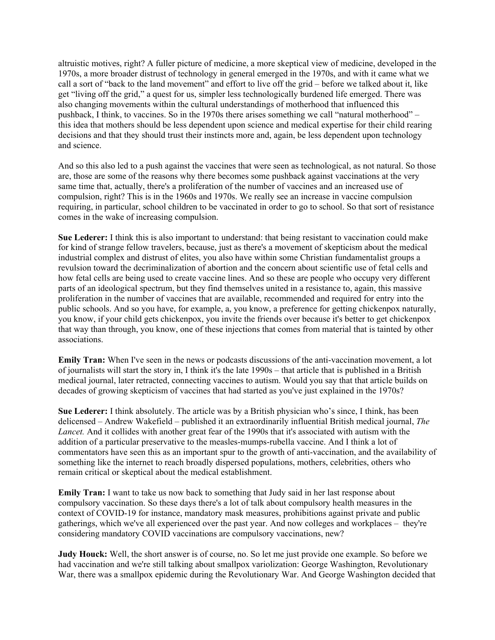altruistic motives, right? A fuller picture of medicine, a more skeptical view of medicine, developed in the 1970s, a more broader distrust of technology in general emerged in the 1970s, and with it came what we call a sort of "back to the land movement" and effort to live off the grid – before we talked about it, like get "living off the grid," a quest for us, simpler less technologically burdened life emerged. There was also changing movements within the cultural understandings of motherhood that influenced this pushback, I think, to vaccines. So in the 1970s there arises something we call "natural motherhood" – this idea that mothers should be less dependent upon science and medical expertise for their child rearing decisions and that they should trust their instincts more and, again, be less dependent upon technology and science.

And so this also led to a push against the vaccines that were seen as technological, as not natural. So those are, those are some of the reasons why there becomes some pushback against vaccinations at the very same time that, actually, there's a proliferation of the number of vaccines and an increased use of compulsion, right? This is in the 1960s and 1970s. We really see an increase in vaccine compulsion requiring, in particular, school children to be vaccinated in order to go to school. So that sort of resistance comes in the wake of increasing compulsion.

**Sue Lederer:** I think this is also important to understand: that being resistant to vaccination could make for kind of strange fellow travelers, because, just as there's a movement of skepticism about the medical industrial complex and distrust of elites, you also have within some Christian fundamentalist groups a revulsion toward the decriminalization of abortion and the concern about scientific use of fetal cells and how fetal cells are being used to create vaccine lines. And so these are people who occupy very different parts of an ideological spectrum, but they find themselves united in a resistance to, again, this massive proliferation in the number of vaccines that are available, recommended and required for entry into the public schools. And so you have, for example, a, you know, a preference for getting chickenpox naturally, you know, if your child gets chickenpox, you invite the friends over because it's better to get chickenpox that way than through, you know, one of these injections that comes from material that is tainted by other associations.

**Emily Tran:** When I've seen in the news or podcasts discussions of the anti-vaccination movement, a lot of journalists will start the story in, I think it's the late 1990s – that article that is published in a British medical journal, later retracted, connecting vaccines to autism. Would you say that that article builds on decades of growing skepticism of vaccines that had started as you've just explained in the 1970s?

**Sue Lederer:** I think absolutely. The article was by a British physician who's since, I think, has been delicensed – Andrew Wakefield – published it an extraordinarily influential British medical journal, *The Lancet.* And it collides with another great fear of the 1990s that it's associated with autism with the addition of a particular preservative to the measles-mumps-rubella vaccine. And I think a lot of commentators have seen this as an important spur to the growth of anti-vaccination, and the availability of something like the internet to reach broadly dispersed populations, mothers, celebrities, others who remain critical or skeptical about the medical establishment.

**Emily Tran:** I want to take us now back to something that Judy said in her last response about compulsory vaccination. So these days there's a lot of talk about compulsory health measures in the context of COVID-19 for instance, mandatory mask measures, prohibitions against private and public gatherings, which we've all experienced over the past year. And now colleges and workplaces – they're considering mandatory COVID vaccinations are compulsory vaccinations, new?

**Judy Houck:** Well, the short answer is of course, no. So let me just provide one example. So before we had vaccination and we're still talking about smallpox variolization: George Washington, Revolutionary War, there was a smallpox epidemic during the Revolutionary War. And George Washington decided that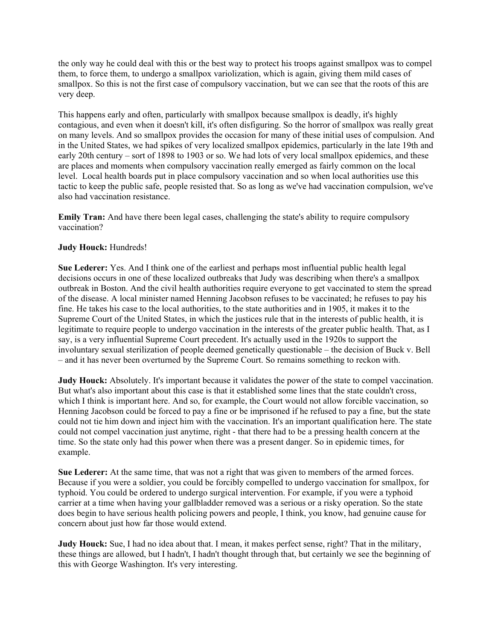the only way he could deal with this or the best way to protect his troops against smallpox was to compel them, to force them, to undergo a smallpox variolization, which is again, giving them mild cases of smallpox. So this is not the first case of compulsory vaccination, but we can see that the roots of this are very deep.

This happens early and often, particularly with smallpox because smallpox is deadly, it's highly contagious, and even when it doesn't kill, it's often disfiguring. So the horror of smallpox was really great on many levels. And so smallpox provides the occasion for many of these initial uses of compulsion. And in the United States, we had spikes of very localized smallpox epidemics, particularly in the late 19th and early 20th century – sort of 1898 to 1903 or so. We had lots of very local smallpox epidemics, and these are places and moments when compulsory vaccination really emerged as fairly common on the local level. Local health boards put in place compulsory vaccination and so when local authorities use this tactic to keep the public safe, people resisted that. So as long as we've had vaccination compulsion, we've also had vaccination resistance.

**Emily Tran:** And have there been legal cases, challenging the state's ability to require compulsory vaccination?

## **Judy Houck:** Hundreds!

**Sue Lederer:** Yes. And I think one of the earliest and perhaps most influential public health legal decisions occurs in one of these localized outbreaks that Judy was describing when there's a smallpox outbreak in Boston. And the civil health authorities require everyone to get vaccinated to stem the spread of the disease. A local minister named Henning Jacobson refuses to be vaccinated; he refuses to pay his fine. He takes his case to the local authorities, to the state authorities and in 1905, it makes it to the Supreme Court of the United States, in which the justices rule that in the interests of public health, it is legitimate to require people to undergo vaccination in the interests of the greater public health. That, as I say, is a very influential Supreme Court precedent. It's actually used in the 1920s to support the involuntary sexual sterilization of people deemed genetically questionable – the decision of Buck v. Bell – and it has never been overturned by the Supreme Court. So remains something to reckon with.

**Judy Houck:** Absolutely. It's important because it validates the power of the state to compel vaccination. But what's also important about this case is that it established some lines that the state couldn't cross, which I think is important here. And so, for example, the Court would not allow forcible vaccination, so Henning Jacobson could be forced to pay a fine or be imprisoned if he refused to pay a fine, but the state could not tie him down and inject him with the vaccination. It's an important qualification here. The state could not compel vaccination just anytime, right - that there had to be a pressing health concern at the time. So the state only had this power when there was a present danger. So in epidemic times, for example.

**Sue Lederer:** At the same time, that was not a right that was given to members of the armed forces. Because if you were a soldier, you could be forcibly compelled to undergo vaccination for smallpox, for typhoid. You could be ordered to undergo surgical intervention. For example, if you were a typhoid carrier at a time when having your gallbladder removed was a serious or a risky operation. So the state does begin to have serious health policing powers and people, I think, you know, had genuine cause for concern about just how far those would extend.

**Judy Houck:** Sue, I had no idea about that. I mean, it makes perfect sense, right? That in the military, these things are allowed, but I hadn't, I hadn't thought through that, but certainly we see the beginning of this with George Washington. It's very interesting.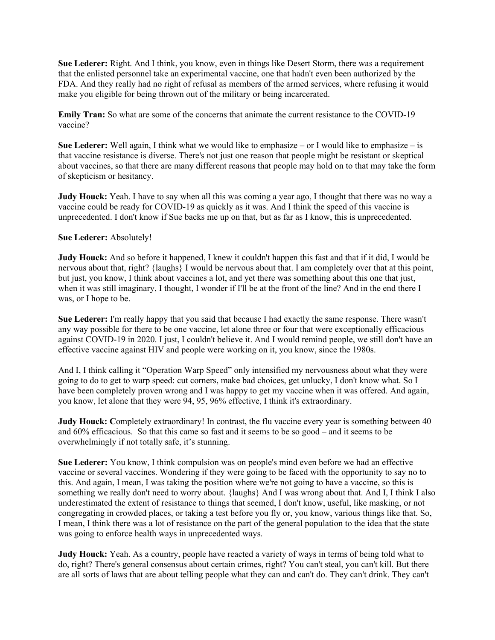**Sue Lederer:** Right. And I think, you know, even in things like Desert Storm, there was a requirement that the enlisted personnel take an experimental vaccine, one that hadn't even been authorized by the FDA. And they really had no right of refusal as members of the armed services, where refusing it would make you eligible for being thrown out of the military or being incarcerated.

**Emily Tran:** So what are some of the concerns that animate the current resistance to the COVID-19 vaccine?

**Sue Lederer:** Well again, I think what we would like to emphasize – or I would like to emphasize – is that vaccine resistance is diverse. There's not just one reason that people might be resistant or skeptical about vaccines, so that there are many different reasons that people may hold on to that may take the form of skepticism or hesitancy.

**Judy Houck:** Yeah. I have to say when all this was coming a year ago, I thought that there was no way a vaccine could be ready for COVID-19 as quickly as it was. And I think the speed of this vaccine is unprecedented. I don't know if Sue backs me up on that, but as far as I know, this is unprecedented.

### **Sue Lederer:** Absolutely!

**Judy Houck:** And so before it happened, I knew it couldn't happen this fast and that if it did, I would be nervous about that, right? {laughs} I would be nervous about that. I am completely over that at this point, but just, you know, I think about vaccines a lot, and yet there was something about this one that just, when it was still imaginary, I thought, I wonder if I'll be at the front of the line? And in the end there I was, or I hope to be.

**Sue Lederer:** I'm really happy that you said that because I had exactly the same response. There wasn't any way possible for there to be one vaccine, let alone three or four that were exceptionally efficacious against COVID-19 in 2020. I just, I couldn't believe it. And I would remind people, we still don't have an effective vaccine against HIV and people were working on it, you know, since the 1980s.

And I, I think calling it "Operation Warp Speed" only intensified my nervousness about what they were going to do to get to warp speed: cut corners, make bad choices, get unlucky, I don't know what. So I have been completely proven wrong and I was happy to get my vaccine when it was offered. And again, you know, let alone that they were 94, 95, 96% effective, I think it's extraordinary.

**Judy Houck: C**ompletely extraordinary! In contrast, the flu vaccine every year is something between 40 and 60% efficacious. So that this came so fast and it seems to be so good – and it seems to be overwhelmingly if not totally safe, it's stunning.

**Sue Lederer:** You know, I think compulsion was on people's mind even before we had an effective vaccine or several vaccines. Wondering if they were going to be faced with the opportunity to say no to this. And again, I mean, I was taking the position where we're not going to have a vaccine, so this is something we really don't need to worry about. {laughs} And I was wrong about that. And I, I think I also underestimated the extent of resistance to things that seemed, I don't know, useful, like masking, or not congregating in crowded places, or taking a test before you fly or, you know, various things like that. So, I mean, I think there was a lot of resistance on the part of the general population to the idea that the state was going to enforce health ways in unprecedented ways.

**Judy Houck:** Yeah. As a country, people have reacted a variety of ways in terms of being told what to do, right? There's general consensus about certain crimes, right? You can't steal, you can't kill. But there are all sorts of laws that are about telling people what they can and can't do. They can't drink. They can't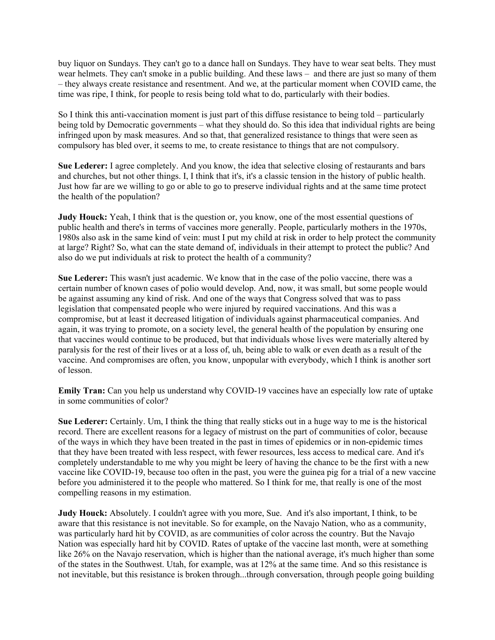buy liquor on Sundays. They can't go to a dance hall on Sundays. They have to wear seat belts. They must wear helmets. They can't smoke in a public building. And these laws – and there are just so many of them – they always create resistance and resentment. And we, at the particular moment when COVID came, the time was ripe, I think, for people to resis being told what to do, particularly with their bodies.

So I think this anti-vaccination moment is just part of this diffuse resistance to being told – particularly being told by Democratic governments – what they should do. So this idea that individual rights are being infringed upon by mask measures. And so that, that generalized resistance to things that were seen as compulsory has bled over, it seems to me, to create resistance to things that are not compulsory.

**Sue Lederer:** I agree completely. And you know, the idea that selective closing of restaurants and bars and churches, but not other things. I, I think that it's, it's a classic tension in the history of public health. Just how far are we willing to go or able to go to preserve individual rights and at the same time protect the health of the population?

**Judy Houck:** Yeah, I think that is the question or, you know, one of the most essential questions of public health and there's in terms of vaccines more generally. People, particularly mothers in the 1970s, 1980s also ask in the same kind of vein: must I put my child at risk in order to help protect the community at large? Right? So, what can the state demand of, individuals in their attempt to protect the public? And also do we put individuals at risk to protect the health of a community?

**Sue Lederer:** This wasn't just academic. We know that in the case of the polio vaccine, there was a certain number of known cases of polio would develop. And, now, it was small, but some people would be against assuming any kind of risk. And one of the ways that Congress solved that was to pass legislation that compensated people who were injured by required vaccinations. And this was a compromise, but at least it decreased litigation of individuals against pharmaceutical companies. And again, it was trying to promote, on a society level, the general health of the population by ensuring one that vaccines would continue to be produced, but that individuals whose lives were materially altered by paralysis for the rest of their lives or at a loss of, uh, being able to walk or even death as a result of the vaccine. And compromises are often, you know, unpopular with everybody, which I think is another sort of lesson.

**Emily Tran:** Can you help us understand why COVID-19 vaccines have an especially low rate of uptake in some communities of color?

**Sue Lederer:** Certainly. Um, I think the thing that really sticks out in a huge way to me is the historical record. There are excellent reasons for a legacy of mistrust on the part of communities of color, because of the ways in which they have been treated in the past in times of epidemics or in non-epidemic times that they have been treated with less respect, with fewer resources, less access to medical care. And it's completely understandable to me why you might be leery of having the chance to be the first with a new vaccine like COVID-19, because too often in the past, you were the guinea pig for a trial of a new vaccine before you administered it to the people who mattered. So I think for me, that really is one of the most compelling reasons in my estimation.

**Judy Houck:** Absolutely. I couldn't agree with you more, Sue. And it's also important, I think, to be aware that this resistance is not inevitable. So for example, on the Navajo Nation, who as a community, was particularly hard hit by COVID, as are communities of color across the country. But the Navajo Nation was especially hard hit by COVID. Rates of uptake of the vaccine last month, were at something like 26% on the Navajo reservation, which is higher than the national average, it's much higher than some of the states in the Southwest. Utah, for example, was at 12% at the same time. And so this resistance is not inevitable, but this resistance is broken through...through conversation, through people going building